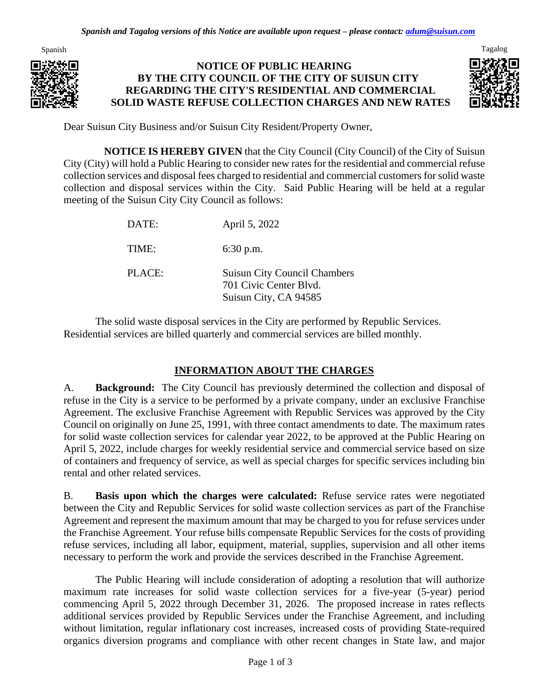

### **NOTICE OF PUBLIC HEARING BY THE CITY COUNCIL OF THE CITY OF SUISUN CITY REGARDING THE CITY'S RESIDENTIAL AND COMMERCIAL SOLID WASTE REFUSE COLLECTION CHARGES AND NEW RATES**



Dear Suisun City Business and/or Suisun City Resident/Property Owner,

**NOTICE IS HEREBY GIVEN** that the City Council (City Council) of the City of Suisun City (City) will hold a Public Hearing to consider new rates for the residential and commercial refuse collection services and disposal fees charged to residential and commercial customers for solid waste collection and disposal services within the City. Said Public Hearing will be held at a regular meeting of the Suisun City City Council as follows:

| DATE:  | April 5, 2022                                                                          |
|--------|----------------------------------------------------------------------------------------|
| TIME:  | $6:30$ p.m.                                                                            |
| PLACE: | <b>Suisun City Council Chambers</b><br>701 Civic Center Blvd.<br>Suisun City, CA 94585 |

The solid waste disposal services in the City are performed by Republic Services. Residential services are billed quarterly and commercial services are billed monthly.

## **INFORMATION ABOUT THE CHARGES**

A. **Background:** The City Council has previously determined the collection and disposal of refuse in the City is a service to be performed by a private company, under an exclusive Franchise Agreement. The exclusive Franchise Agreement with Republic Services was approved by the City Council on originally on June 25, 1991, with three contact amendments to date. The maximum rates for solid waste collection services for calendar year 2022, to be approved at the Public Hearing on April 5, 2022, include charges for weekly residential service and commercial service based on size of containers and frequency of service, as well as special charges for specific services including bin rental and other related services.

B. **Basis upon which the charges were calculated:** Refuse service rates were negotiated between the City and Republic Services for solid waste collection services as part of the Franchise Agreement and represent the maximum amount that may be charged to you for refuse services under the Franchise Agreement. Your refuse bills compensate Republic Services for the costs of providing refuse services, including all labor, equipment, material, supplies, supervision and all other items necessary to perform the work and provide the services described in the Franchise Agreement.

The Public Hearing will include consideration of adopting a resolution that will authorize maximum rate increases for solid waste collection services for a five-year (5-year) period commencing April 5, 2022 through December 31, 2026. The proposed increase in rates reflects additional services provided by Republic Services under the Franchise Agreement, and including without limitation, regular inflationary cost increases, increased costs of providing State-required organics diversion programs and compliance with other recent changes in State law, and major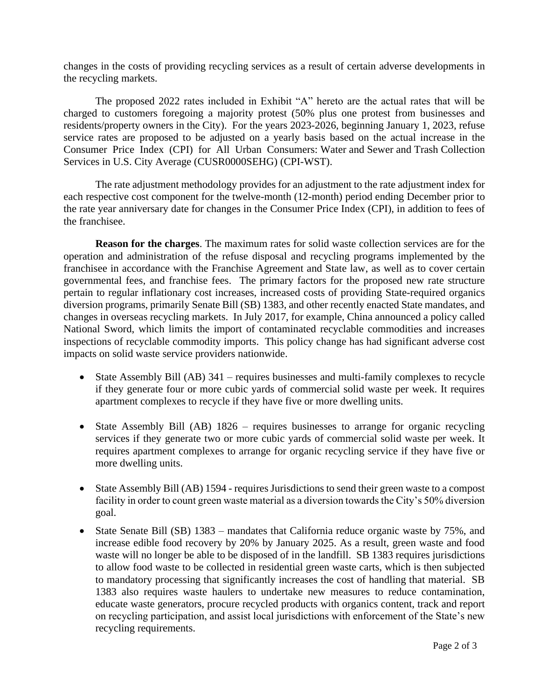changes in the costs of providing recycling services as a result of certain adverse developments in the recycling markets.

The proposed 2022 rates included in Exhibit "A" hereto are the actual rates that will be charged to customers foregoing a majority protest (50% plus one protest from businesses and residents/property owners in the City). For the years 2023-2026, beginning January 1, 2023, refuse service rates are proposed to be adjusted on a yearly basis based on the actual increase in the Consumer Price Index (CPI) for All Urban Consumers: Water and Sewer and Trash Collection Services in U.S. City Average (CUSR0000SEHG) (CPI-WST).

The rate adjustment methodology provides for an adjustment to the rate adjustment index for each respective cost component for the twelve-month (12-month) period ending December prior to the rate year anniversary date for changes in the Consumer Price Index (CPI), in addition to fees of the franchisee.

**Reason for the charges**. The maximum rates for solid waste collection services are for the operation and administration of the refuse disposal and recycling programs implemented by the franchisee in accordance with the Franchise Agreement and State law, as well as to cover certain governmental fees, and franchise fees. The primary factors for the proposed new rate structure pertain to regular inflationary cost increases, increased costs of providing State-required organics diversion programs, primarily Senate Bill (SB) 1383, and other recently enacted State mandates, and changes in overseas recycling markets. In July 2017, for example, China announced a policy called National Sword, which limits the import of contaminated recyclable commodities and increases inspections of recyclable commodity imports. This policy change has had significant adverse cost impacts on solid waste service providers nationwide.

- State Assembly Bill (AB) 341 requires businesses and multi-family complexes to recycle if they generate four or more cubic yards of commercial solid waste per week. It requires apartment complexes to recycle if they have five or more dwelling units.
- State Assembly Bill (AB) 1826 requires businesses to arrange for organic recycling services if they generate two or more cubic yards of commercial solid waste per week. It requires apartment complexes to arrange for organic recycling service if they have five or more dwelling units.
- State Assembly Bill (AB) 1594 requires Jurisdictions to send their green waste to a compost facility in order to count green waste material as a diversion towards the City's 50% diversion goal.
- State Senate Bill (SB) 1383 mandates that California reduce organic waste by 75%, and increase edible food recovery by 20% by January 2025. As a result, green waste and food waste will no longer be able to be disposed of in the landfill. SB 1383 requires jurisdictions to allow food waste to be collected in residential green waste carts, which is then subjected to mandatory processing that significantly increases the cost of handling that material. SB 1383 also requires waste haulers to undertake new measures to reduce contamination, educate waste generators, procure recycled products with organics content, track and report on recycling participation, and assist local jurisdictions with enforcement of the State's new recycling requirements.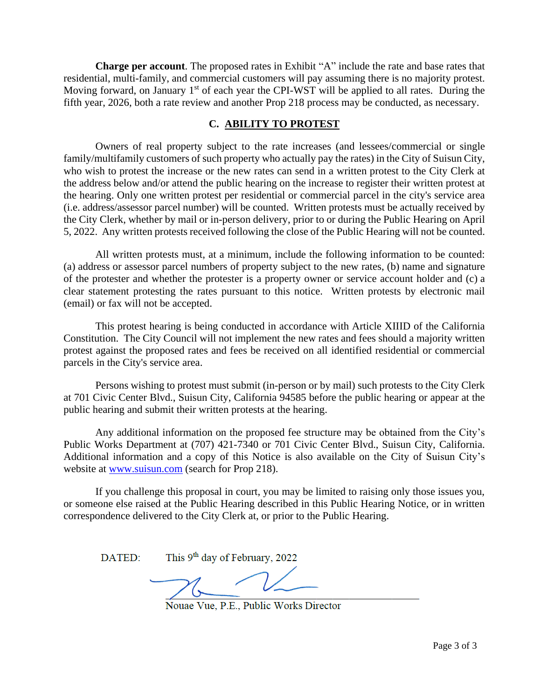**Charge per account**. The proposed rates in Exhibit "A" include the rate and base rates that residential, multi-family, and commercial customers will pay assuming there is no majority protest. Moving forward, on January  $1<sup>st</sup>$  of each year the CPI-WST will be applied to all rates. During the fifth year, 2026, both a rate review and another Prop 218 process may be conducted, as necessary.

#### **C. ABILITY TO PROTEST**

Owners of real property subject to the rate increases (and lessees/commercial or single family/multifamily customers of such property who actually pay the rates) in the City of Suisun City, who wish to protest the increase or the new rates can send in a written protest to the City Clerk at the address below and/or attend the public hearing on the increase to register their written protest at the hearing. Only one written protest per residential or commercial parcel in the city's service area (i.e. address/assessor parcel number) will be counted. Written protests must be actually received by the City Clerk, whether by mail or in-person delivery, prior to or during the Public Hearing on April 5, 2022. Any written protests received following the close of the Public Hearing will not be counted.

All written protests must, at a minimum, include the following information to be counted: (a) address or assessor parcel numbers of property subject to the new rates, (b) name and signature of the protester and whether the protester is a property owner or service account holder and (c) a clear statement protesting the rates pursuant to this notice. Written protests by electronic mail (email) or fax will not be accepted.

This protest hearing is being conducted in accordance with Article XIIID of the California Constitution. The City Council will not implement the new rates and fees should a majority written protest against the proposed rates and fees be received on all identified residential or commercial parcels in the City's service area.

Persons wishing to protest must submit (in-person or by mail) such protests to the City Clerk at 701 Civic Center Blvd., Suisun City, California 94585 before the public hearing or appear at the public hearing and submit their written protests at the hearing.

Any additional information on the proposed fee structure may be obtained from the City's Public Works Department at (707) 421-7340 or 701 Civic Center Blvd., Suisun City, California. Additional information and a copy of this Notice is also available on the City of Suisun City's website at [www.suisun.com](http://www.suisun.com/) (search for Prop 218).

If you challenge this proposal in court, you may be limited to raising only those issues you, or someone else raised at the Public Hearing described in this Public Hearing Notice, or in written correspondence delivered to the City Clerk at, or prior to the Public Hearing.

This 9<sup>th</sup> day of February, 2022  $\mathbf{DATED}$ 

Nouae Vue, P.E., Public Works Director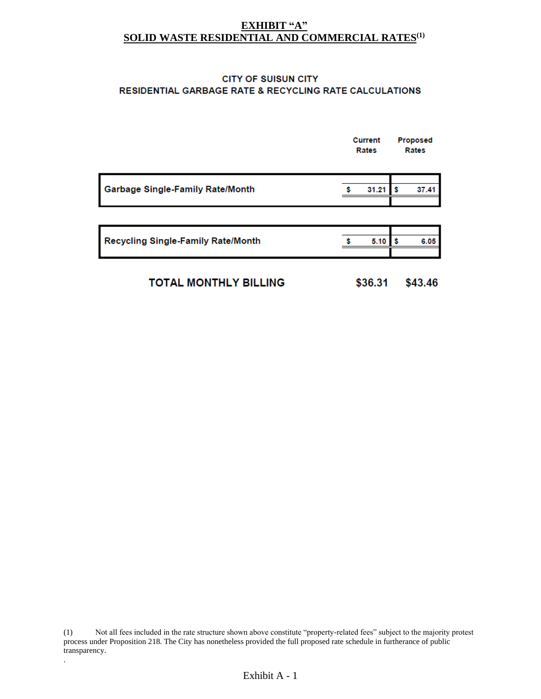#### **EXHIBIT "A" SOLID WASTE RESIDENTIAL AND COMMERCIAL RATES(1)**

#### **CITY OF SUISUN CITY** RESIDENTIAL GARBAGE RATE & RECYCLING RATE CALCULATIONS

|                                           | <b>Current</b><br>Rates |       | <b>Proposed</b><br>Rates |       |
|-------------------------------------------|-------------------------|-------|--------------------------|-------|
| Garbage Single-Family Rate/Month          |                         | 31.21 | s                        | 37.41 |
|                                           |                         |       |                          |       |
| <b>Recycling Single-Family Rate/Month</b> |                         | 5.10  | Ŝ                        | 6.05  |
|                                           |                         |       |                          |       |

| <b>TOTAL MONTHLY BILLING</b> | \$36.31 | \$43.46 |
|------------------------------|---------|---------|
|                              |         |         |

(1) Not all fees included in the rate structure shown above constitute "property-related fees" subject to the majority protest process under Proposition 218. The City has nonetheless provided the full proposed rate schedule in furtherance of public transparency.

.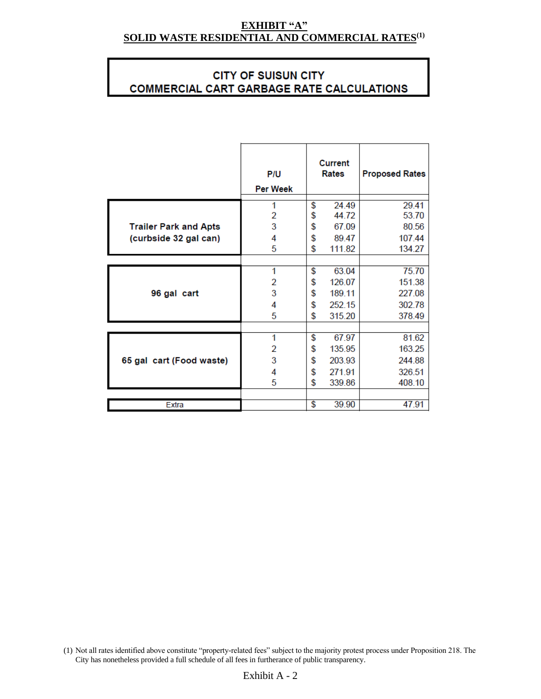#### **EXHIBIT "A" SOLID WASTE RESIDENTIAL AND COMMERCIAL RATES(1)**

# **CITY OF SUISUN CITY COMMERCIAL CART GARBAGE RATE CALCULATIONS**

|                              | P/U<br><b>Per Week</b> | <b>Current</b><br>Rates | <b>Proposed Rates</b> |
|------------------------------|------------------------|-------------------------|-----------------------|
|                              | 1                      | \$<br>24.49             | 29.41                 |
|                              | 2                      | \$<br>44.72             | 53.70                 |
| <b>Trailer Park and Apts</b> | 3                      | \$<br>67.09             | 80.56                 |
| (curbside 32 gal can)        | 4                      | \$<br>89.47             | 107.44                |
|                              | 5                      | \$<br>111.82            | 134.27                |
|                              |                        |                         |                       |
|                              | 1                      | \$<br>63.04             | 75.70                 |
|                              | 2                      | \$<br>126.07            | 151.38                |
| 96 gal cart                  | 3                      | \$<br>189.11            | 227.08                |
|                              | 4                      | \$<br>252.15            | 302.78                |
|                              | 5                      | \$<br>315.20            | 378.49                |
|                              |                        |                         |                       |
|                              | 1                      | \$<br>67.97             | 81.62                 |
|                              | 2                      | \$<br>135.95            | 163.25                |
| 65 gal cart (Food waste)     | 3                      | \$<br>203.93            | 244.88                |
|                              | 4                      | \$<br>271.91            | 326.51                |
|                              | 5                      | \$<br>339.86            | 408.10                |
|                              |                        |                         |                       |
| Extra                        |                        | \$<br>39.90             | 47.91                 |

(1) Not all rates identified above constitute "property-related fees" subject to the majority protest process under Proposition 218. The City has nonetheless provided a full schedule of all fees in furtherance of public transparency.